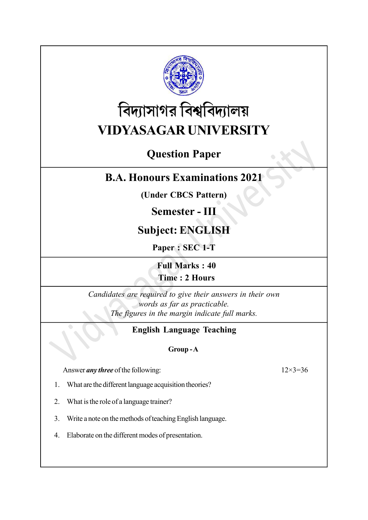

# বিদ্যাসাগর বিশ্ববিদ্যালয় VIDYASAGAR UNIVERSITY

# Question Paper

# B.A. Honours Examinations 2021

(Under CBCS Pattern)

## Semester - III

# Subject: ENGLISH

Paper : SEC 1-T

Full Marks : 40 Time : 2 Hours

Candidates are required to give their answers in their own words as far as practicable. The figures in the margin indicate full marks.

## English Language Teaching

## Group - A

Answer *any three* of the following:  $12 \times 3 = 36$ 

- 1. What are the different language acquisition theories?
- 2. What is the role of a language trainer?
- 3. Write a note on the methods of teaching English language.
- 4. Elaborate on the different modes of presentation.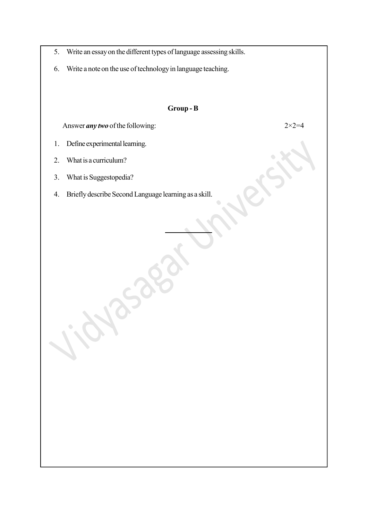- 5. Write an essay on the different types of language assessing skills.
- 6. Write a note on the use of technology in language teaching.

### Group - B

Answer *any two* of the following:  $2 \times 2 = 4$ 

- 1. Define experimental learning.
- 2. What is a curriculum?
- 3. What is Suggestopedia?
- 4. Briefly describe Second Language learning as a skill.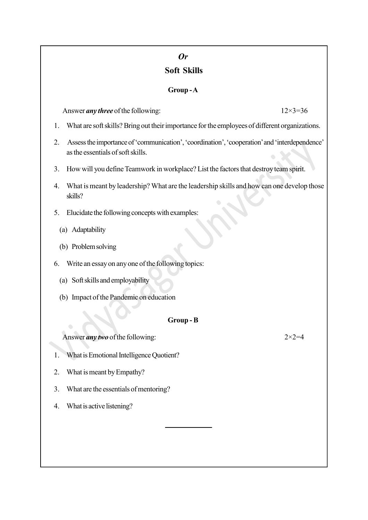# Or

## Soft Skills

## Group - A

Answer *any three* of the following:  $12 \times 3 = 36$ 

- 1. What are soft skills? Bring out their importance for the employees of different organizations.
- 2. Assess the importance of 'communication', 'coordination', 'cooperation' and 'interdependence' as the essentials of soft skills.
- 3. How will you define Teamwork in workplace? List the factors that destroy team spirit.
- 4. What is meant by leadership? What are the leadership skills and how can one develop those skills?
- 5. Elucidate the following concepts with examples:
	- (a) Adaptability
	- (b) Problem solving
- 6. Write an essay on any one of the following topics:
	- (a) Soft skills and employability
	- (b) Impact of the Pandemic on education

## Group - B

Answer *any two* of the following:  $2 \times 2 = 4$ 

- 1. What is Emotional Intelligence Quotient?
- 2. What is meant by Empathy?
- 3. What are the essentials of mentoring?
- 4. What is active listening?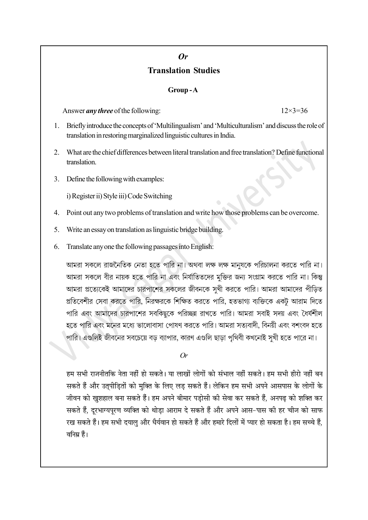## Or Translation Studies

#### Group - A

Answer *any three* of the following:  $12\times3=36$ 

- 1. Briefly introduce the concepts of 'Multilingualism' and 'Multiculturalism' and discuss the role of translation in restoring marginalized linguistic cultures in India.
- 2. What are the chief differences between literal translation and free translation? Define functional translation.
- 3. Define the following with examples:

i) Register ii) Style iii) Code Switching

- 4. Point out any two problems of translation and write how those problems can be overcome.
- 5. Write an essay on translation as linguistic bridge building.
- 6. Translate any one the following passages into English:

আমরা সকলে রাজনৈতিক নেতা হতে পারি না। অথবা লক্ষ লক্ষ মান্যকে পরিচালনা করতে পারি না। আমরা সকলে বীর নায়ক হতে পারি না এবং নির্যাতিতদের মুক্তির জন্য সংগ্রাম করতে পারি না। কিন্তু আমরা প্রত্যেকেই আমাদের চারপাশের সকলের জীবনকে সখী করতে পারি। আমরা আমাদের পীডিত প্রতিবেশীর সেবা করতে পারি, নিরক্ষরকে শিক্ষিত করতে পারি, হতভাগ্য ব্যক্তিকে একট আরাম দিতে পারি এবং আমাদের চারপাশের সবকিছুকে পরিচ্ছন্ন রাখতে পারি। আমরা সবাই সদয় এবং ধৈর্যশীল হতে পারি এবং মনের মধ্যে ভালোবাসা পোষণ করতে পারি। আমরা সত্যবাদী, বিনয়ী এবং বশংবদ হতে পারি। এগুলিই জীবনের সবচেয়ে বড় ব্যাপার, কারণ এগুলি ছাড়া পৃথিবী কখনোই সুখী হতে পারে না।

Or

हम सभी राजनीतकि नेता नहीं हो सकते। या लाखों लोगों को संभाल नहीं सकते। हम सभी हीरो नहीं बन सकते हैं और उत्पीड़ितों को मुक्ति के लिए लड़ सकते हैं। लेकिन हम सभी अपने आसपास के लोगों के जीवन को खुशहाल बना सकते हैं। हम अपने बीमार पड़ोसी की सेवा कर सकते हैं, अनपढ़ को शक्ति कर सकते हैं. दरभाग्यपरण व्यक्ति को थोडा आराम दे सकते हैं और अपने आस-पास की हर चीज को साफ रख सकते हैं। हम सभी दयालु और धैर्यवान हो सकते हैं और हमारे दिलों में प्यार हो सकता है। हम सच्चे हैं, वनिम्न हैं।